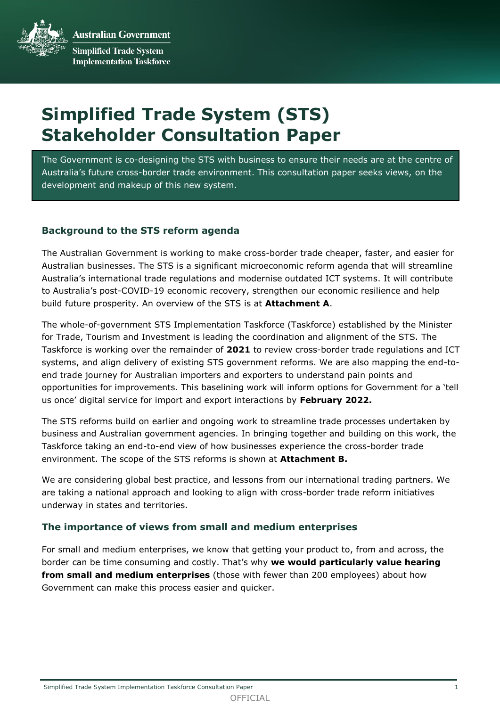**Australian Government Simplified Trade System Implementation Taskforce** 

# **Simplified Trade System (STS) Stakeholder Consultation Paper**

The Government is co-designing the STS with business to ensure their needs are at the centre of Australia's future cross-border trade environment. This consultation paper seeks views, on the development and makeup of this new system.

# **Background to the STS reform agenda**

The Australian Government is working to make cross-border trade cheaper, faster, and easier for Australian businesses. The STS is a significant microeconomic reform agenda that will streamline Australia's international trade regulations and modernise outdated ICT systems. It will contribute to Australia's post-COVID-19 economic recovery, strengthen our economic resilience and help build future prosperity. An overview of the STS is at **Attachment A**.

The whole-of-government STS Implementation Taskforce (Taskforce) established by the Minister for Trade, Tourism and Investment is leading the coordination and alignment of the STS. The Taskforce is working over the remainder of **2021** to review cross-border trade regulations and ICT systems, and align delivery of existing STS government reforms. We are also mapping the end-toend trade journey for Australian importers and exporters to understand pain points and opportunities for improvements. This baselining work will inform options for Government for a 'tell us once' digital service for import and export interactions by **February 2022.** 

The STS reforms build on earlier and ongoing work to streamline trade processes undertaken by business and Australian government agencies. In bringing together and building on this work, the Taskforce taking an end-to-end view of how businesses experience the cross-border trade environment. The scope of the STS reforms is shown at **Attachment B.**

We are considering global best practice, and lessons from our international trading partners. We are taking a national approach and looking to align with cross-border trade reform initiatives underway in states and territories.

# **The importance of views from small and medium enterprises**

For small and medium enterprises, we know that getting your product to, from and across, the border can be time consuming and costly. That's why **we would particularly value hearing from small and medium enterprises** (those with fewer than 200 employees) about how Government can make this process easier and quicker.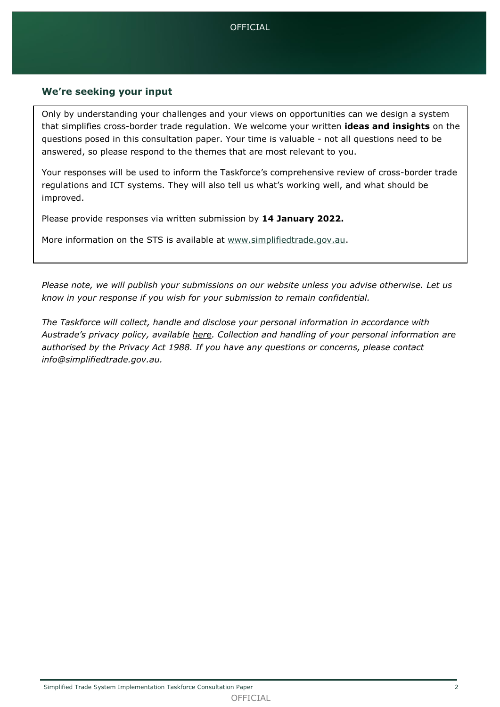# **We're seeking your input**

Only by understanding your challenges and your views on opportunities can we design a system that simplifies cross-border trade regulation. We welcome your written **ideas and insights** on the questions posed in this consultation paper. Your time is valuable - not all questions need to be answered, so please respond to the themes that are most relevant to you.

Your responses will be used to inform the Taskforce's comprehensive review of cross-border trade regulations and ICT systems. They will also tell us what's working well, and what should be improved.

Please provide responses via written submission by **14 January 2022.**

More information on the STS is available at [www.simplifiedtrade.gov.au.](http://www.simplifiedtrade.gov.au/)

*Please note, we will publish your submissions on our website unless you advise otherwise. Let us know in your response if you wish for your submission to remain confidential.* 

*The Taskforce will collect, handle and disclose your personal information in accordance with Austrade's privacy policy, available [here.](https://www.austrade.gov.au/site-information/privacy-policy) Collection and handling of your personal information are authorised by the Privacy Act 1988. If you have any questions or concerns, please contact info@simplifiedtrade.gov.au.*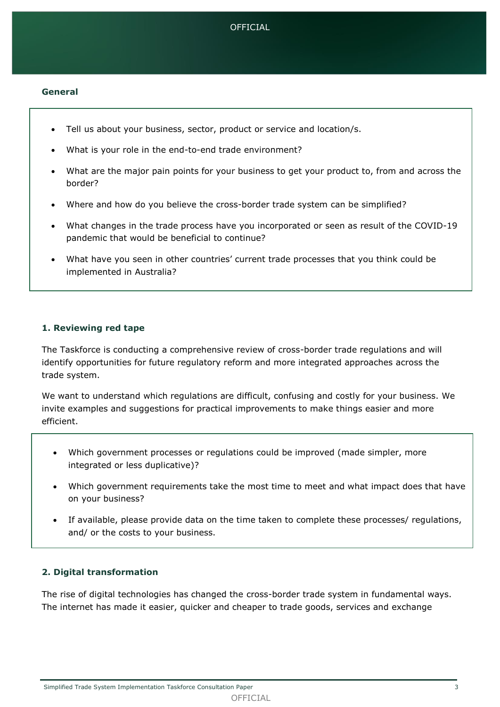

#### **General**

- Tell us about your business, sector, product or service and location/s.
- What is your role in the end-to-end trade environment?
- What are the major pain points for your business to get your product to, from and across the border?
- Where and how do you believe the cross-border trade system can be simplified?
- What changes in the trade process have you incorporated or seen as result of the COVID-19 pandemic that would be beneficial to continue?
- What have you seen in other countries' current trade processes that you think could be implemented in Australia?

#### **1. Reviewing red tape**

The Taskforce is conducting a comprehensive review of cross-border trade regulations and will identify opportunities for future regulatory reform and more integrated approaches across the trade system.

We want to understand which regulations are difficult, confusing and costly for your business. We invite examples and suggestions for practical improvements to make things easier and more efficient.

- Which government processes or regulations could be improved (made simpler, more integrated or less duplicative)?
- Which government requirements take the most time to meet and what impact does that have on your business?
- If available, please provide data on the time taken to complete these processes/ regulations, and/ or the costs to your business.

## **2. Digital transformation**

The rise of digital technologies has changed the cross-border trade system in fundamental ways. The internet has made it easier, quicker and cheaper to trade goods, services and exchange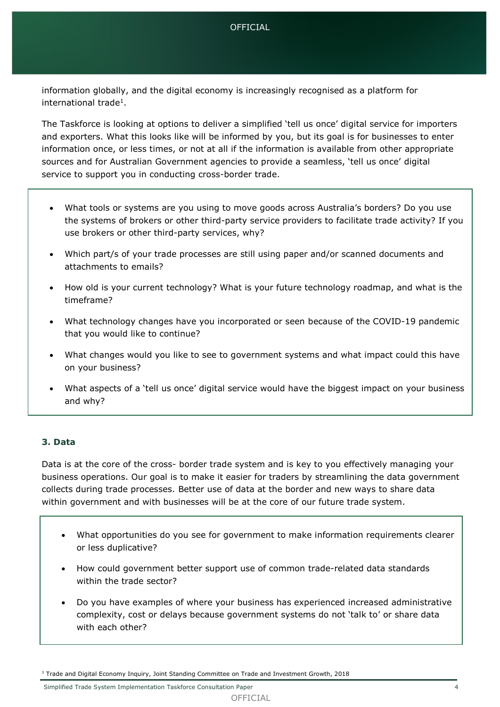## OFFICIAL

information globally, and the digital economy is increasingly recognised as a platform for international trade<sup>1</sup>.

The Taskforce is looking at options to deliver a simplified 'tell us once' digital service for importers and exporters. What this looks like will be informed by you, but its goal is for businesses to enter information once, or less times, or not at all if the information is available from other appropriate sources and for Australian Government agencies to provide a seamless, 'tell us once' digital service to support you in conducting cross-border trade.

- What tools or systems are you using to move goods across Australia's borders? Do you use the systems of brokers or other third-party service providers to facilitate trade activity? If you use brokers or other third-party services, why?
- Which part/s of your trade processes are still using paper and/or scanned documents and attachments to emails?
- How old is your current technology? What is your future technology roadmap, and what is the timeframe?
- What technology changes have you incorporated or seen because of the COVID-19 pandemic that you would like to continue?
- What changes would you like to see to government systems and what impact could this have on your business?
- What aspects of a 'tell us once' digital service would have the biggest impact on your business and why?

# **3. Data**

Data is at the core of the cross- border trade system and is key to you effectively managing your business operations. Our goal is to make it easier for traders by streamlining the data government collects during trade processes. Better use of data at the border and new ways to share data within government and with businesses will be at the core of our future trade system.

- What opportunities do you see for government to make information requirements clearer or less duplicative?
- How could government better support use of common trade-related data standards within the trade sector?
- Do you have examples of where your business has experienced increased administrative complexity, cost or delays because government systems do not 'talk to' or share data with each other?

<sup>&</sup>lt;sup>1</sup> Trade and Digital Economy Inquiry, Joint Standing Committee on Trade and Investment Growth, 2018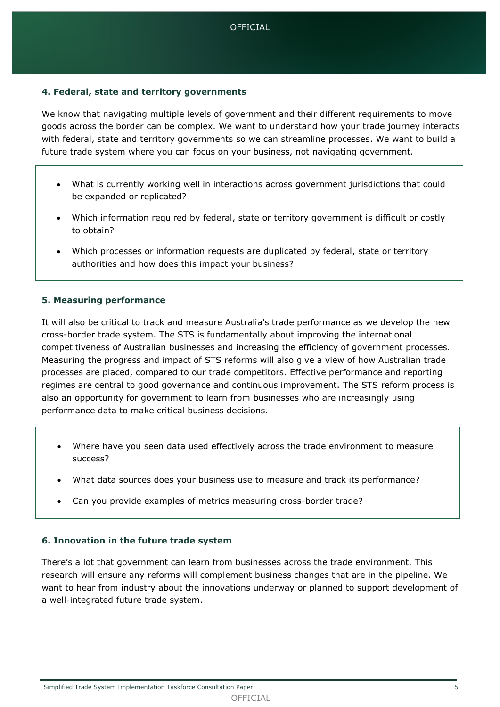# **4. Federal, state and territory governments**

We know that navigating multiple levels of government and their different requirements to move goods across the border can be complex. We want to understand how your trade journey interacts with federal, state and territory governments so we can streamline processes. We want to build a future trade system where you can focus on your business, not navigating government.

- What is currently working well in interactions across government jurisdictions that could be expanded or replicated?
- Which information required by federal, state or territory government is difficult or costly to obtain?
- Which processes or information requests are duplicated by federal, state or territory authorities and how does this impact your business?

## **5. Measuring performance**

It will also be critical to track and measure Australia's trade performance as we develop the new cross-border trade system. The STS is fundamentally about improving the international competitiveness of Australian businesses and increasing the efficiency of government processes. Measuring the progress and impact of STS reforms will also give a view of how Australian trade processes are placed, compared to our trade competitors. Effective performance and reporting regimes are central to good governance and continuous improvement. The STS reform process is also an opportunity for government to learn from businesses who are increasingly using performance data to make critical business decisions.

- Where have you seen data used effectively across the trade environment to measure success?
- What data sources does your business use to measure and track its performance?
- Can you provide examples of metrics measuring cross-border trade?

## **6. Innovation in the future trade system**

There's a lot that government can learn from businesses across the trade environment. This research will ensure any reforms will complement business changes that are in the pipeline. We want to hear from industry about the innovations underway or planned to support development of a well-integrated future trade system.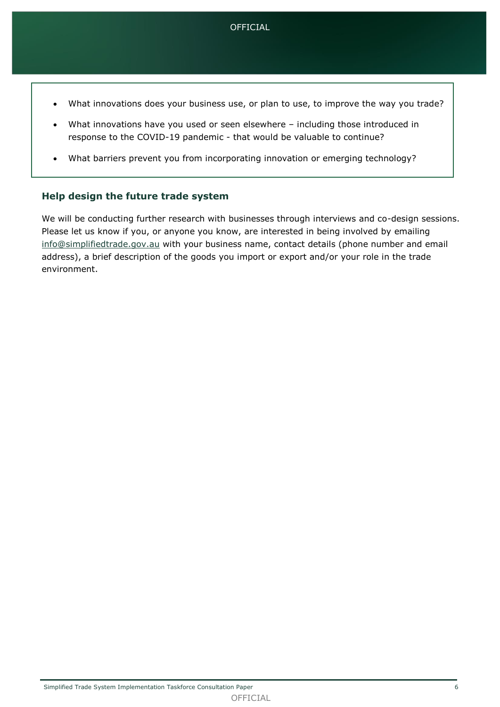- What innovations does your business use, or plan to use, to improve the way you trade?
- What innovations have you used or seen elsewhere including those introduced in response to the COVID-19 pandemic - that would be valuable to continue?
- What barriers prevent you from incorporating innovation or emerging technology?

## **Help design the future trade system**

We will be conducting further research with businesses through interviews and co-design sessions. Please let us know if you, or anyone you know, are interested in being involved by emailing [info@simplifiedtrade.gov.au](mailto:info@simplifiedtrade.gov.au) with your business name, contact details (phone number and email address), a brief description of the goods you import or export and/or your role in the trade environment.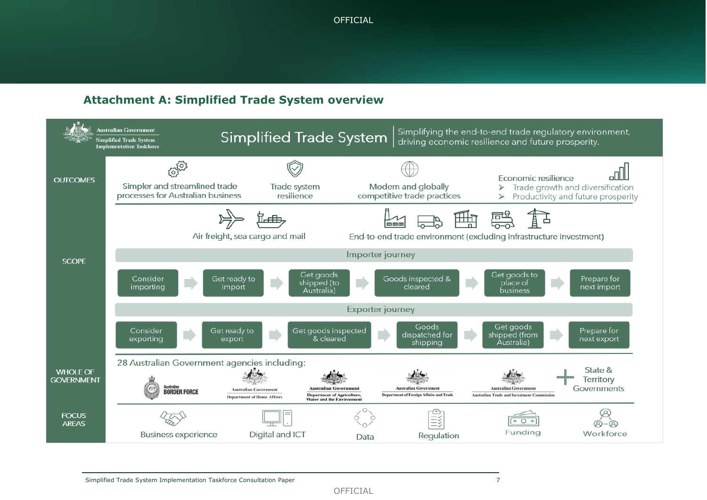# **Attachment A: Simplified Trade System overview**



OFFICIAL